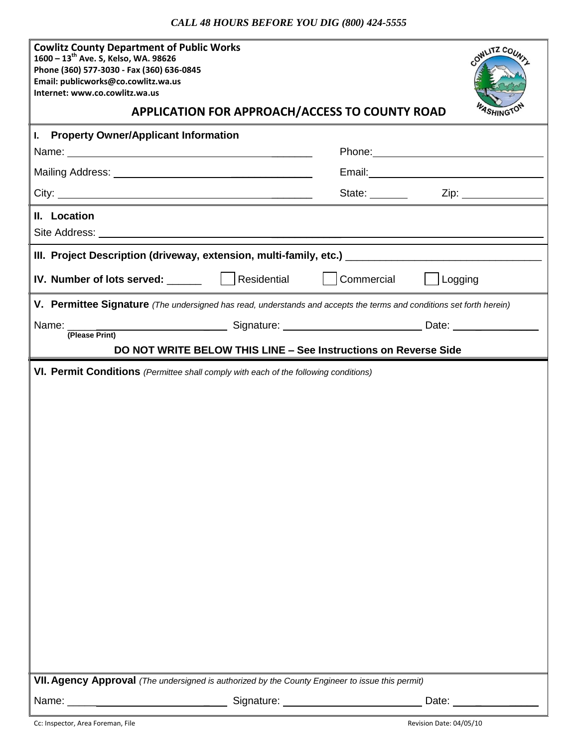## *CALL 48 HOURS BEFORE YOU DIG (800) 424-5555*

| <b>Cowlitz County Department of Public Works</b><br>1600 - 13 <sup>th</sup> Ave. S, Kelso, WA. 98626<br>Phone (360) 577-3030 - Fax (360) 636-0845<br>Email: publicworks@co.cowlitz.wa.us<br>Internet: www.co.cowlitz.wa.us |  |                |                | OWLITZ COUN           |
|----------------------------------------------------------------------------------------------------------------------------------------------------------------------------------------------------------------------------|--|----------------|----------------|-----------------------|
| APPLICATION FOR APPROACH/ACCESS TO COUNTY ROAD                                                                                                                                                                             |  |                |                |                       |
| I. Property Owner/Applicant Information                                                                                                                                                                                    |  |                |                |                       |
| Name: 2008.000 PM 2009.000 PM 2009.000 PM 2009.000 PM 2009.000 PM 2009.000 PM 2009.000 PM 2009.000 PM 2009.000                                                                                                             |  |                |                |                       |
|                                                                                                                                                                                                                            |  |                |                |                       |
|                                                                                                                                                                                                                            |  | State: _______ |                | Zip: ________________ |
| II. Location                                                                                                                                                                                                               |  |                |                |                       |
| III. Project Description (driveway, extension, multi-family, etc.) [1986] [1986] [1986] [1986] [1986] [1986] [                                                                                                             |  |                |                |                       |
| IV. Number of lots served: _______   Residential                                                                                                                                                                           |  | Commercial     | $\Box$ Logging |                       |
| V. Permittee Signature (The undersigned has read, understands and accepts the terms and conditions set forth herein)                                                                                                       |  |                |                |                       |
| (Please Print)                                                                                                                                                                                                             |  |                |                |                       |
| DO NOT WRITE BELOW THIS LINE - See Instructions on Reverse Side                                                                                                                                                            |  |                |                |                       |
| VI. Permit Conditions (Permittee shall comply with each of the following conditions)                                                                                                                                       |  |                |                |                       |
| VII. Agency Approval (The undersigned is authorized by the County Engineer to issue this permit)                                                                                                                           |  |                |                |                       |